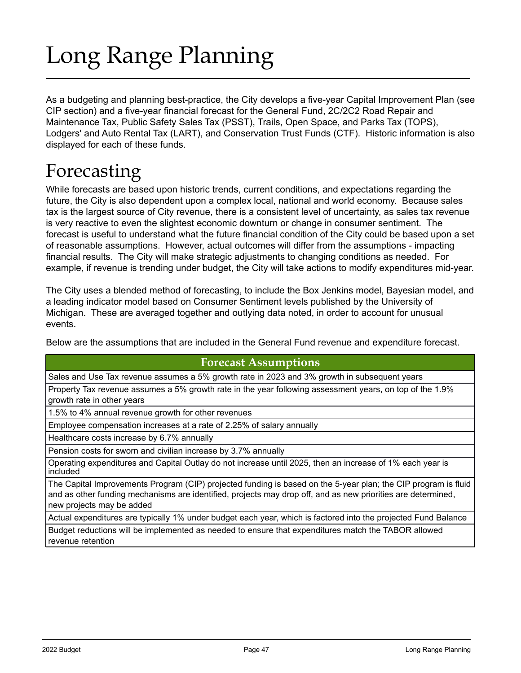# Long Range Planning

As a budgeting and planning best-practice, the City develops a five-year Capital Improvement Plan (see CIP section) and a five-year financial forecast for the General Fund, 2C/2C2 Road Repair and Maintenance Tax, Public Safety Sales Tax (PSST), Trails, Open Space, and Parks Tax (TOPS), Lodgers' and Auto Rental Tax (LART), and Conservation Trust Funds (CTF). Historic information is also displayed for each of these funds.

# Forecasting

While forecasts are based upon historic trends, current conditions, and expectations regarding the future, the City is also dependent upon a complex local, national and world economy. Because sales tax is the largest source of City revenue, there is a consistent level of uncertainty, as sales tax revenue is very reactive to even the slightest economic downturn or change in consumer sentiment. The forecast is useful to understand what the future financial condition of the City could be based upon a set of reasonable assumptions. However, actual outcomes will differ from the assumptions - impacting financial results. The City will make strategic adjustments to changing conditions as needed. For example, if revenue is trending under budget, the City will take actions to modify expenditures mid-year.

The City uses a blended method of forecasting, to include the Box Jenkins model, Bayesian model, and a leading indicator model based on Consumer Sentiment levels published by the University of Michigan. These are averaged together and outlying data noted, in order to account for unusual events.

Below are the assumptions that are included in the General Fund revenue and expenditure forecast.

### **Forecast Assumptions**

Sales and Use Tax revenue assumes a 5% growth rate in 2023 and 3% growth in subsequent years

Property Tax revenue assumes a 5% growth rate in the year following assessment years, on top of the 1.9% growth rate in other years

1.5% to 4% annual revenue growth for other revenues

Employee compensation increases at a rate of 2.25% of salary annually

Healthcare costs increase by 6.7% annually

Pension costs for sworn and civilian increase by 3.7% annually

Operating expenditures and Capital Outlay do not increase until 2025, then an increase of 1% each year is included

The Capital Improvements Program (CIP) projected funding is based on the 5-year plan; the CIP program is fluid and as other funding mechanisms are identified, projects may drop off, and as new priorities are determined, new projects may be added

Actual expenditures are typically 1% under budget each year, which is factored into the projected Fund Balance

Budget reductions will be implemented as needed to ensure that expenditures match the TABOR allowed revenue retention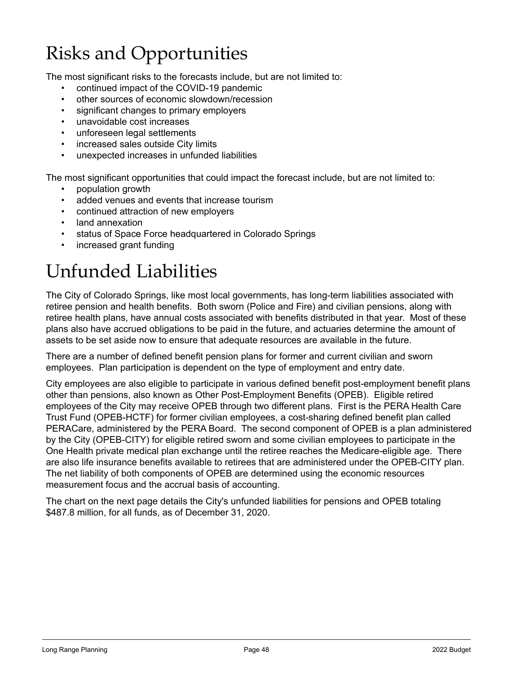# Risks and Opportunities

The most significant risks to the forecasts include, but are not limited to:

- continued impact of the COVID-19 pandemic
- other sources of economic slowdown/recession
- significant changes to primary employers
- unavoidable cost increases
- unforeseen legal settlements
- increased sales outside City limits
- unexpected increases in unfunded liabilities

The most significant opportunities that could impact the forecast include, but are not limited to:

- population growth
- added venues and events that increase tourism
- continued attraction of new employers
- land annexation
- status of Space Force headquartered in Colorado Springs
- increased grant funding

# Unfunded Liabilities

The City of Colorado Springs, like most local governments, has long-term liabilities associated with retiree pension and health benefits. Both sworn (Police and Fire) and civilian pensions, along with retiree health plans, have annual costs associated with benefits distributed in that year. Most of these plans also have accrued obligations to be paid in the future, and actuaries determine the amount of assets to be set aside now to ensure that adequate resources are available in the future.

There are a number of defined benefit pension plans for former and current civilian and sworn employees. Plan participation is dependent on the type of employment and entry date.

City employees are also eligible to participate in various defined benefit post-employment benefit plans other than pensions, also known as Other Post-Employment Benefits (OPEB). Eligible retired employees of the City may receive OPEB through two different plans. First is the PERA Health Care Trust Fund (OPEB-HCTF) for former civilian employees, a cost-sharing defined benefit plan called PERACare, administered by the PERA Board. The second component of OPEB is a plan administered by the City (OPEB-CITY) for eligible retired sworn and some civilian employees to participate in the One Health private medical plan exchange until the retiree reaches the Medicare-eligible age. There are also life insurance benefits available to retirees that are administered under the OPEB-CITY plan. The net liability of both components of OPEB are determined using the economic resources measurement focus and the accrual basis of accounting.

The chart on the next page details the City's unfunded liabilities for pensions and OPEB totaling \$487.8 million, for all funds, as of December 31, 2020.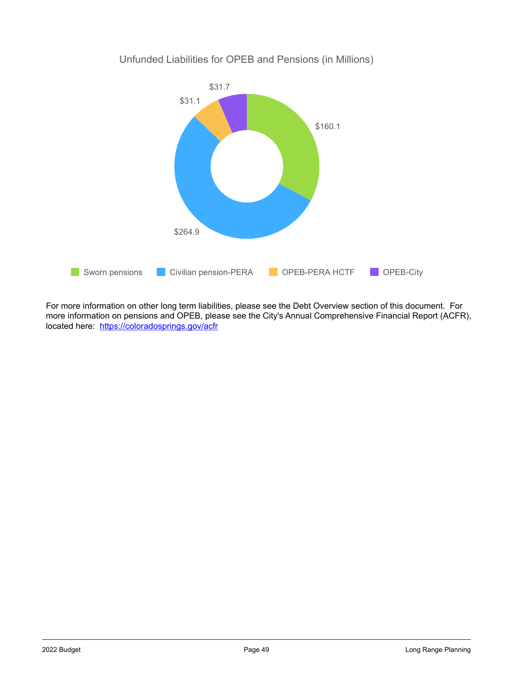

Unfunded Liabilities for OPEB and Pensions (in Millions)

For more information on other long term liabilities, please see the Debt Overview section of this document. For more information on pensions and OPEB, please see the City's Annual Comprehensive Financial Report (ACFR), located here: <https://coloradosprings.gov/acfr>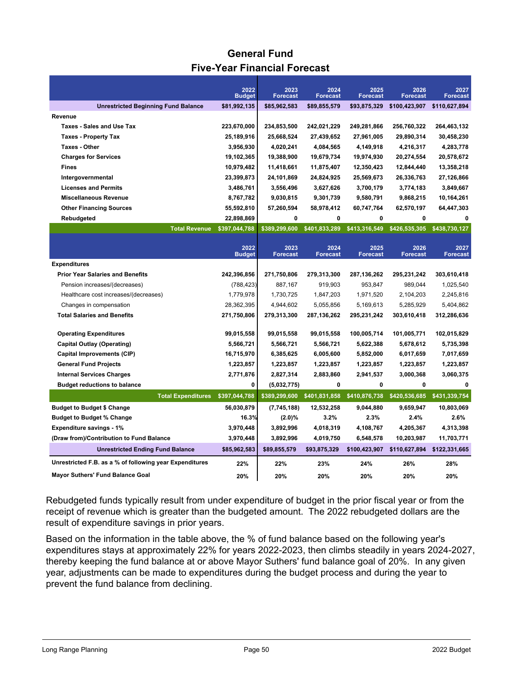## **General Fund Five-Year Financial Forecast**

|                                                         | 2022<br><b>Budget</b> | 2023<br><b>Forecast</b> | 2024<br><b>Forecast</b> | 2025<br><b>Forecast</b> | 2026<br><b>Forecast</b> | 2027<br><b>Forecast</b> |
|---------------------------------------------------------|-----------------------|-------------------------|-------------------------|-------------------------|-------------------------|-------------------------|
| <b>Unrestricted Beginning Fund Balance</b>              | \$81,992,135          | \$85,962,583            | \$89,855,579            | \$93,875,329            | \$100,423,907           | \$110,627,894           |
| Revenue                                                 |                       |                         |                         |                         |                         |                         |
| <b>Taxes - Sales and Use Tax</b>                        | 223,670,000           | 234,853,500             | 242,021,229             | 249,281,866             | 256,760,322             | 264,463,132             |
| <b>Taxes - Property Tax</b>                             | 25,189,916            | 25,668,524              | 27,439,652              | 27,961,005              | 29,890,314              | 30,458,230              |
| <b>Taxes - Other</b>                                    | 3,956,930             | 4,020,241               | 4,084,565               | 4,149,918               | 4,216,317               | 4,283,778               |
| <b>Charges for Services</b>                             | 19,102,365            | 19,388,900              | 19,679,734              | 19,974,930              | 20,274,554              | 20,578,672              |
| <b>Fines</b>                                            | 10,979,482            | 11,418,661              | 11,875,407              | 12,350,423              | 12,844,440              | 13,358,218              |
| Intergovernmental                                       | 23,399,873            | 24,101,869              | 24,824,925              | 25,569,673              | 26,336,763              | 27,126,866              |
| <b>Licenses and Permits</b>                             | 3,486,761             | 3,556,496               | 3,627,626               | 3,700,179               | 3,774,183               | 3,849,667               |
| <b>Miscellaneous Revenue</b>                            | 8,767,782             | 9,030,815               | 9,301,739               | 9,580,791               | 9,868,215               | 10,164,261              |
| <b>Other Financing Sources</b>                          | 55,592,810            | 57,260,594              | 58,978,412              | 60,747,764              | 62,570,197              | 64,447,303              |
| Rebudgeted                                              | 22,898,869            | 0                       | 0                       | 0                       | 0                       | 0                       |
| <b>Total Revenue</b>                                    | \$397,044,788         | \$389.299.600           | \$401,833,289           | \$413,316,549           | \$426,535,305           | \$438,730,127           |
|                                                         |                       |                         |                         |                         |                         |                         |
|                                                         | 2022<br><b>Budget</b> | 2023<br><b>Forecast</b> | 2024<br><b>Forecast</b> | 2025<br><b>Forecast</b> | 2026<br><b>Forecast</b> | 2027<br><b>Forecast</b> |
| <b>Expenditures</b>                                     |                       |                         |                         |                         |                         |                         |
| <b>Prior Year Salaries and Benefits</b>                 | 242,396,856           | 271,750,806             | 279,313,300             | 287, 136, 262           | 295,231,242             | 303,610,418             |
| Pension increases/(decreases)                           | (788, 423)            | 887,167                 | 919,903                 | 953,847                 | 989,044                 | 1,025,540               |
| Healthcare cost increases/(decreases)                   | 1,779,978             | 1,730,725               | 1,847,203               | 1,971,520               | 2,104,203               | 2,245,816               |
| Changes in compensation                                 | 28,362,395            | 4,944,602               | 5,055,856               | 5,169,613               | 5,285,929               | 5,404,862               |
| <b>Total Salaries and Benefits</b>                      | 271,750,806           | 279,313,300             | 287, 136, 262           | 295,231,242             | 303,610,418             | 312,286,636             |
|                                                         |                       |                         |                         |                         |                         |                         |
| <b>Operating Expenditures</b>                           | 99,015,558            | 99,015,558              | 99,015,558              | 100,005,714             | 101,005,771             | 102,015,829             |
| <b>Capital Outlay (Operating)</b>                       | 5,566,721             | 5,566,721               | 5,566,721               | 5,622,388               | 5,678,612               | 5,735,398               |
| <b>Capital Improvements (CIP)</b>                       | 16,715,970            | 6,385,625               | 6,005,600               | 5,852,000               | 6,017,659               | 7,017,659               |
| <b>General Fund Projects</b>                            | 1,223,857             | 1,223,857               | 1,223,857               | 1,223,857               | 1,223,857               | 1,223,857               |
| <b>Internal Services Charges</b>                        | 2,771,876             | 2,827,314               | 2,883,860               | 2,941,537               | 3,000,368               | 3,060,375               |
| <b>Budget reductions to balance</b>                     | 0                     | (5,032,775)             | $\mathbf 0$             | 0                       | 0                       | 0                       |
| <b>Total Expenditures</b>                               | \$397,044,788         | \$389,299,600           | \$401,831,858           | \$410,876,738           | \$420,536,685           | \$431,339,754           |
| <b>Budget to Budget \$ Change</b>                       | 56,030,879            | (7,745,188)             | 12,532,258              | 9,044,880               | 9,659,947               | 10,803,069              |
| <b>Budget to Budget % Change</b>                        | 16.3%                 | $(2.0)\%$               | 3.2%                    | 2.3%                    | 2.4%                    | 2.6%                    |
| <b>Expenditure savings - 1%</b>                         | 3,970,448             | 3,892,996               | 4,018,319               | 4,108,767               | 4,205,367               | 4,313,398               |
| (Draw from)/Contribution to Fund Balance                | 3,970,448             | 3,892,996               | 4,019,750               | 6,548,578               | 10,203,987              | 11,703,771              |
| <b>Unrestricted Ending Fund Balance</b>                 | \$85,962,583          | \$89,855,579            | \$93,875,329            | \$100,423,907           | \$110,627,894           | \$122,331,665           |
| Unrestricted F.B. as a % of following year Expenditures | 22%                   | 22%                     | 23%                     | 24%                     | 26%                     | 28%                     |
| <b>Mayor Suthers' Fund Balance Goal</b>                 | 20%                   | 20%                     | 20%                     | 20%                     | 20%                     | 20%                     |

Rebudgeted funds typically result from under expenditure of budget in the prior fiscal year or from the receipt of revenue which is greater than the budgeted amount. The 2022 rebudgeted dollars are the result of expenditure savings in prior years.

Based on the information in the table above, the % of fund balance based on the following year's expenditures stays at approximately 22% for years 2022-2023, then climbs steadily in years 2024-2027, thereby keeping the fund balance at or above Mayor Suthers' fund balance goal of 20%. In any given year, adjustments can be made to expenditures during the budget process and during the year to prevent the fund balance from declining.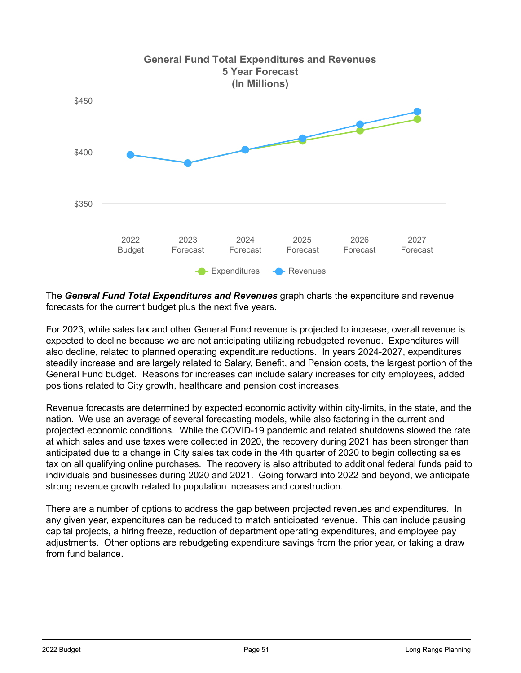

The *General Fund Total Expenditures and Revenues* graph charts the expenditure and revenue forecasts for the current budget plus the next five years.

For 2023, while sales tax and other General Fund revenue is projected to increase, overall revenue is expected to decline because we are not anticipating utilizing rebudgeted revenue. Expenditures will also decline, related to planned operating expenditure reductions. In years 2024-2027, expenditures steadily increase and are largely related to Salary, Benefit, and Pension costs, the largest portion of the General Fund budget. Reasons for increases can include salary increases for city employees, added positions related to City growth, healthcare and pension cost increases.

Revenue forecasts are determined by expected economic activity within city-limits, in the state, and the nation. We use an average of several forecasting models, while also factoring in the current and projected economic conditions. While the COVID-19 pandemic and related shutdowns slowed the rate at which sales and use taxes were collected in 2020, the recovery during 2021 has been stronger than anticipated due to a change in City sales tax code in the 4th quarter of 2020 to begin collecting sales tax on all qualifying online purchases. The recovery is also attributed to additional federal funds paid to individuals and businesses during 2020 and 2021. Going forward into 2022 and beyond, we anticipate strong revenue growth related to population increases and construction.

There are a number of options to address the gap between projected revenues and expenditures. In any given year, expenditures can be reduced to match anticipated revenue. This can include pausing capital projects, a hiring freeze, reduction of department operating expenditures, and employee pay adjustments. Other options are rebudgeting expenditure savings from the prior year, or taking a draw from fund balance.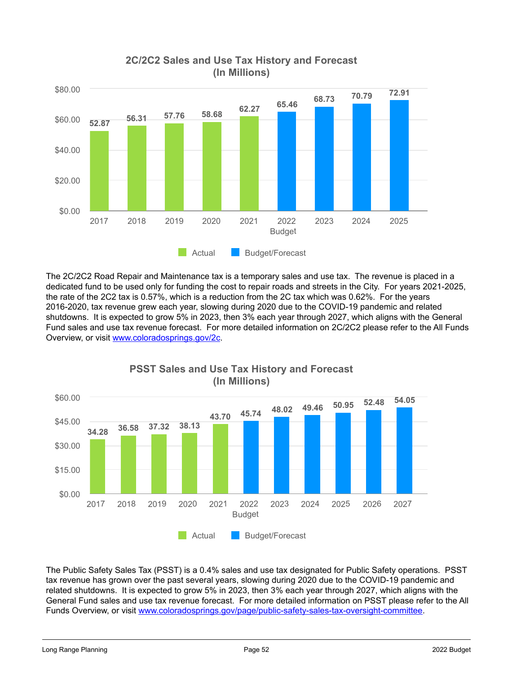

### **2C/2C2 Sales and Use Tax History and Forecast (In Millions)**

The 2C/2C2 Road Repair and Maintenance tax is a temporary sales and use tax. The revenue is placed in a dedicated fund to be used only for funding the cost to repair roads and streets in the City. For years 2021-2025, the rate of the 2C2 tax is 0.57%, which is a reduction from the 2C tax which was 0.62%. For the years 2016-2020, tax revenue grew each year, slowing during 2020 due to the COVID-19 pandemic and related shutdowns. It is expected to grow 5% in 2023, then 3% each year through 2027, which aligns with the General Fund sales and use tax revenue forecast. For more detailed information on 2C/2C2 please refer to the All Funds Overview, or visit [www.coloradosprings.gov/2c.](https://coloradosprings.gov/2c)



### **PSST Sales and Use Tax History and Forecast (In Millions)**

The Public Safety Sales Tax (PSST) is a 0.4% sales and use tax designated for Public Safety operations. PSST tax revenue has grown over the past several years, slowing during 2020 due to the COVID-19 pandemic and related shutdowns. It is expected to grow 5% in 2023, then 3% each year through 2027, which aligns with the General Fund sales and use tax revenue forecast. For more detailed information on PSST please refer to the All Funds Overview, or visit [www.coloradosprings.gov/page/public-safety-sales-tax-oversight-committee.](https://coloradosprings.gov/page/public-safety-sales-tax-oversight-committee)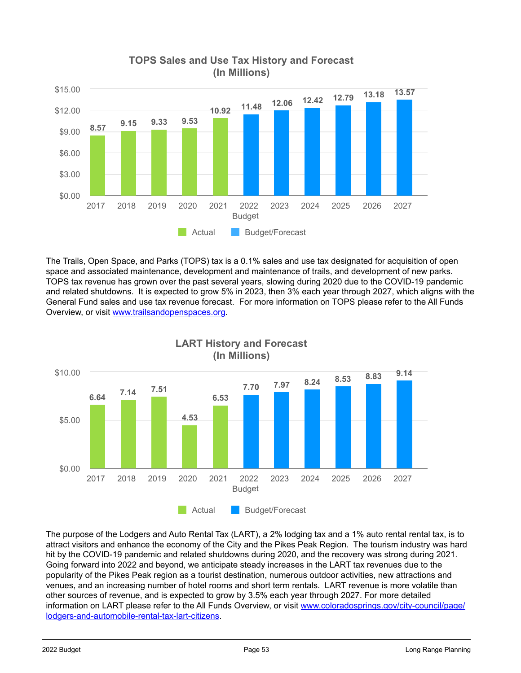

#### **TOPS Sales and Use Tax History and Forecast (In Millions)**

The Trails, Open Space, and Parks (TOPS) tax is a 0.1% sales and use tax designated for acquisition of open space and associated maintenance, development and maintenance of trails, and development of new parks. TOPS tax revenue has grown over the past several years, slowing during 2020 due to the COVID-19 pandemic and related shutdowns. It is expected to grow 5% in 2023, then 3% each year through 2027, which aligns with the General Fund sales and use tax revenue forecast. For more information on TOPS please refer to the All Funds Overview, or visit [www.trailsandopenspaces.org.](https://www.trailsandopenspaces.org/tops/)



**LART History and Forecast**

The purpose of the Lodgers and Auto Rental Tax (LART), a 2% lodging tax and a 1% auto rental rental tax, is to attract visitors and enhance the economy of the City and the Pikes Peak Region. The tourism industry was hard hit by the COVID-19 pandemic and related shutdowns during 2020, and the recovery was strong during 2021. Going forward into 2022 and beyond, we anticipate steady increases in the LART tax revenues due to the popularity of the Pikes Peak region as a tourist destination, numerous outdoor activities, new attractions and venues, and an increasing number of hotel rooms and short term rentals. LART revenue is more volatile than other sources of revenue, and is expected to grow by 3.5% each year through 2027. For more detailed information on LART please refer to the All Funds Overview, or visit [www.coloradosprings.gov/city-council/page/](https://coloradosprings.gov/city-council/page/lodgers-and-automobile-rental-tax-lart-citizens) [lodgers-and-automobile-rental-tax-lart-citizens.](https://coloradosprings.gov/city-council/page/lodgers-and-automobile-rental-tax-lart-citizens)